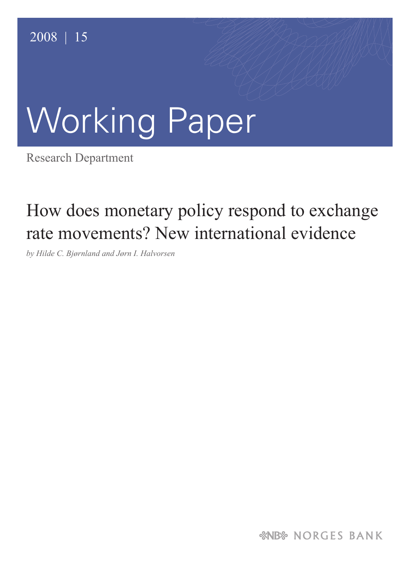# Working Paper

Research Department

# How does monetary policy respond to exchange rate movements? New international evidence

*by Hilde C. Bjørnland and Jørn I. Halvorsen*

*&NB* NORGES BANK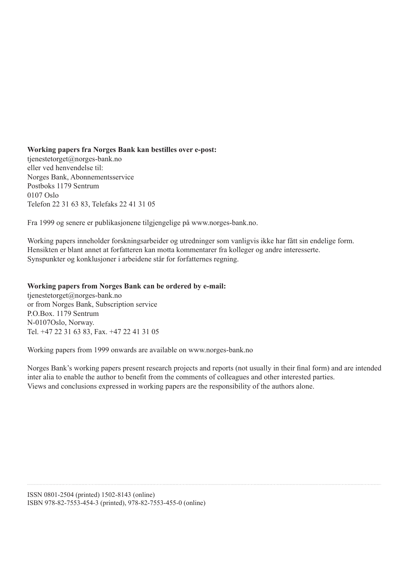**Working papers fra Norges Bank kan bestilles over e-post:**

tjenestetorget@norges-bank.no eller ved henvendelse til: Norges Bank, Abonnementsservice Postboks 1179 Sentrum 0107 Oslo Telefon 22 31 63 83, Telefaks 22 41 31 05

Fra 1999 og senere er publikasjonene tilgjengelige på www.norges-bank.no.

Working papers inneholder forskningsarbeider og utredninger som vanligvis ikke har fått sin endelige form. Hensikten er blant annet at forfatteren kan motta kommentarer fra kolleger og andre interesserte. Synspunkter og konklusjoner i arbeidene står for forfatternes regning.

#### **Working papers from Norges Bank can be ordered by e-mail:**

tjenestetorget@norges-bank.no or from Norges Bank, Subscription service P.O.Box. 1179 Sentrum N-0107Oslo, Norway. Tel. +47 22 31 63 83, Fax. +47 22 41 31 05

Working papers from 1999 onwards are available on www.norges-bank.no

Norges Bank's working papers present research projects and reports (not usually in their final form) and are intended inter alia to enable the author to benefit from the comments of colleagues and other interested parties. Views and conclusions expressed in working papers are the responsibility of the authors alone.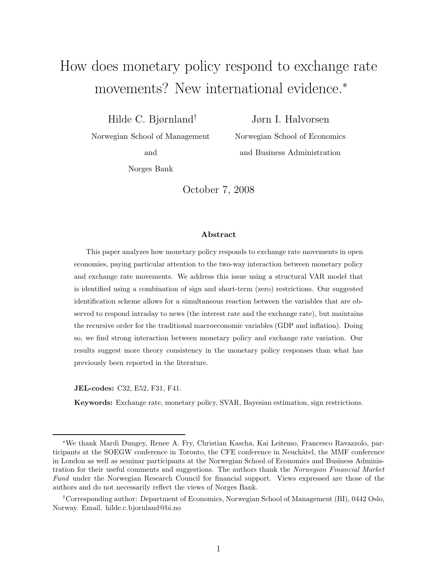# How does monetary policy respond to exchange rate movements? New international evidence.<sup>∗</sup>

Hilde C. Bjørnland†

Jørn I. Halvorsen

Norwegian School of Management

and

Norwegian School of Economics and Business Administration

Norges Bank

October 7, 2008

#### Abstract

This paper analyzes how monetary policy responds to exchange rate movements in open economies, paying particular attention to the two-way interaction between monetary policy and exchange rate movements. We address this issue using a structural VAR model that is identified using a combination of sign and short-term (zero) restrictions. Our suggested identification scheme allows for a simultaneous reaction between the variables that are observed to respond intraday to news (the interest rate and the exchange rate), but maintains the recursive order for the traditional macroeconomic variables (GDP and inflation). Doing so, we find strong interaction between monetary policy and exchange rate variation. Our results suggest more theory consistency in the monetary policy responses than what has previously been reported in the literature.

JEL-codes: C32, E52, F31, F41.

Keywords: Exchange rate, monetary policy, SVAR, Bayesian estimation, sign restrictions.

<sup>∗</sup>We thank Mardi Dungey, Renee A. Fry, Christian Kascha, Kai Leitemo, Francesco Ravazzolo, participants at the SOEGW conference in Toronto, the CFE conference in Neuchâtel, the MMF conference in London as well as seminar participants at the Norwegian School of Economics and Business Administration for their useful comments and suggestions. The authors thank the Norwegian Financial Market Fund under the Norwegian Research Council for financial support. Views expressed are those of the authors and do not necessarily reflect the views of Norges Bank.

<sup>†</sup>Corresponding author: Department of Economics, Norwegian School of Management (BI), 0442 Oslo, Norway. Email. hilde.c.bjornland@bi.no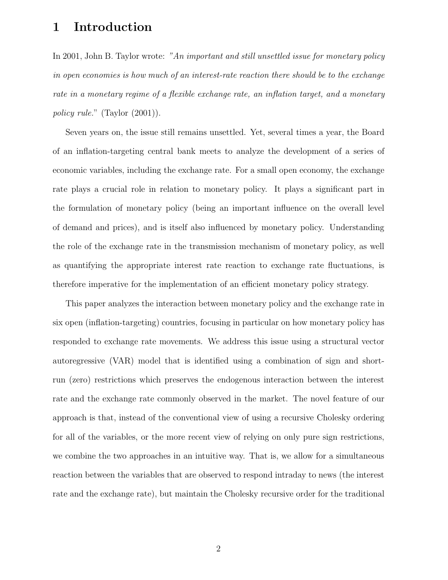# 1 Introduction

In 2001, John B. Taylor wrote: "An important and still unsettled issue for monetary policy in open economies is how much of an interest-rate reaction there should be to the exchange rate in a monetary regime of a flexible exchange rate, an inflation target, and a monetary policy rule." (Taylor  $(2001)$ ).

Seven years on, the issue still remains unsettled. Yet, several times a year, the Board of an inflation-targeting central bank meets to analyze the development of a series of economic variables, including the exchange rate. For a small open economy, the exchange rate plays a crucial role in relation to monetary policy. It plays a significant part in the formulation of monetary policy (being an important influence on the overall level of demand and prices), and is itself also influenced by monetary policy. Understanding the role of the exchange rate in the transmission mechanism of monetary policy, as well as quantifying the appropriate interest rate reaction to exchange rate fluctuations, is therefore imperative for the implementation of an efficient monetary policy strategy.

This paper analyzes the interaction between monetary policy and the exchange rate in six open (inflation-targeting) countries, focusing in particular on how monetary policy has responded to exchange rate movements. We address this issue using a structural vector autoregressive (VAR) model that is identified using a combination of sign and shortrun (zero) restrictions which preserves the endogenous interaction between the interest rate and the exchange rate commonly observed in the market. The novel feature of our approach is that, instead of the conventional view of using a recursive Cholesky ordering for all of the variables, or the more recent view of relying on only pure sign restrictions, we combine the two approaches in an intuitive way. That is, we allow for a simultaneous reaction between the variables that are observed to respond intraday to news (the interest rate and the exchange rate), but maintain the Cholesky recursive order for the traditional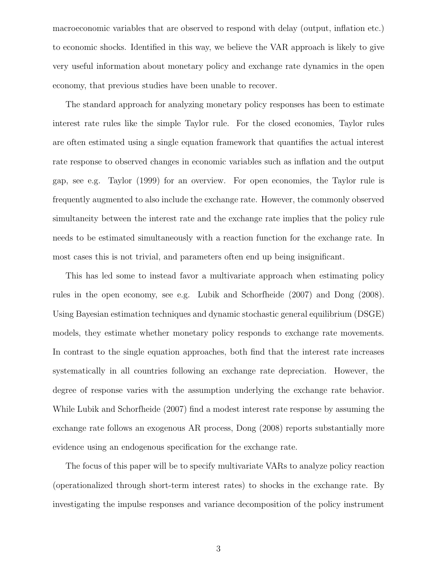macroeconomic variables that are observed to respond with delay (output, inflation etc.) to economic shocks. Identified in this way, we believe the VAR approach is likely to give very useful information about monetary policy and exchange rate dynamics in the open economy, that previous studies have been unable to recover.

The standard approach for analyzing monetary policy responses has been to estimate interest rate rules like the simple Taylor rule. For the closed economies, Taylor rules are often estimated using a single equation framework that quantifies the actual interest rate response to observed changes in economic variables such as inflation and the output gap, see e.g. Taylor (1999) for an overview. For open economies, the Taylor rule is frequently augmented to also include the exchange rate. However, the commonly observed simultaneity between the interest rate and the exchange rate implies that the policy rule needs to be estimated simultaneously with a reaction function for the exchange rate. In most cases this is not trivial, and parameters often end up being insignificant.

This has led some to instead favor a multivariate approach when estimating policy rules in the open economy, see e.g. Lubik and Schorfheide (2007) and Dong (2008). Using Bayesian estimation techniques and dynamic stochastic general equilibrium (DSGE) models, they estimate whether monetary policy responds to exchange rate movements. In contrast to the single equation approaches, both find that the interest rate increases systematically in all countries following an exchange rate depreciation. However, the degree of response varies with the assumption underlying the exchange rate behavior. While Lubik and Schorfheide (2007) find a modest interest rate response by assuming the exchange rate follows an exogenous AR process, Dong (2008) reports substantially more evidence using an endogenous specification for the exchange rate.

The focus of this paper will be to specify multivariate VARs to analyze policy reaction (operationalized through short-term interest rates) to shocks in the exchange rate. By investigating the impulse responses and variance decomposition of the policy instrument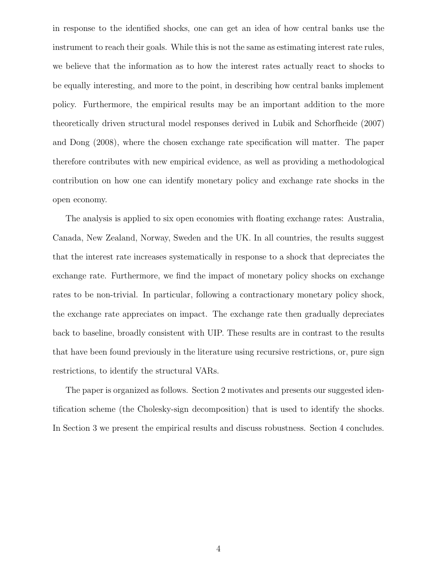in response to the identified shocks, one can get an idea of how central banks use the instrument to reach their goals. While this is not the same as estimating interest rate rules, we believe that the information as to how the interest rates actually react to shocks to be equally interesting, and more to the point, in describing how central banks implement policy. Furthermore, the empirical results may be an important addition to the more theoretically driven structural model responses derived in Lubik and Schorfheide (2007) and Dong (2008), where the chosen exchange rate specification will matter. The paper therefore contributes with new empirical evidence, as well as providing a methodological contribution on how one can identify monetary policy and exchange rate shocks in the open economy.

The analysis is applied to six open economies with floating exchange rates: Australia, Canada, New Zealand, Norway, Sweden and the UK. In all countries, the results suggest that the interest rate increases systematically in response to a shock that depreciates the exchange rate. Furthermore, we find the impact of monetary policy shocks on exchange rates to be non-trivial. In particular, following a contractionary monetary policy shock, the exchange rate appreciates on impact. The exchange rate then gradually depreciates back to baseline, broadly consistent with UIP. These results are in contrast to the results that have been found previously in the literature using recursive restrictions, or, pure sign restrictions, to identify the structural VARs.

The paper is organized as follows. Section 2 motivates and presents our suggested identification scheme (the Cholesky-sign decomposition) that is used to identify the shocks. In Section 3 we present the empirical results and discuss robustness. Section 4 concludes.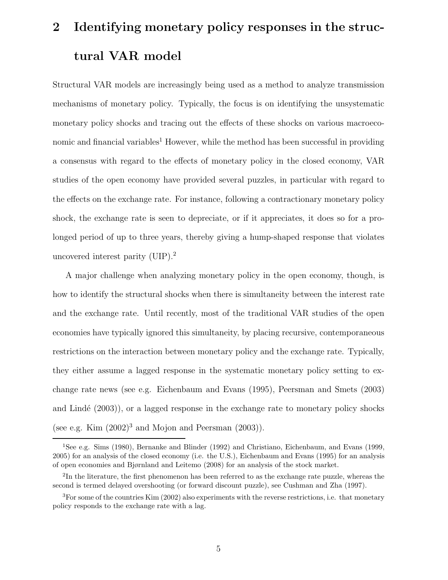# 2 Identifying monetary policy responses in the structural VAR model

Structural VAR models are increasingly being used as a method to analyze transmission mechanisms of monetary policy. Typically, the focus is on identifying the unsystematic monetary policy shocks and tracing out the effects of these shocks on various macroeconomic and financial variables<sup>1</sup> However, while the method has been successful in providing a consensus with regard to the effects of monetary policy in the closed economy, VAR studies of the open economy have provided several puzzles, in particular with regard to the effects on the exchange rate. For instance, following a contractionary monetary policy shock, the exchange rate is seen to depreciate, or if it appreciates, it does so for a prolonged period of up to three years, thereby giving a hump-shaped response that violates uncovered interest parity (UIP).<sup>2</sup>

A major challenge when analyzing monetary policy in the open economy, though, is how to identify the structural shocks when there is simultaneity between the interest rate and the exchange rate. Until recently, most of the traditional VAR studies of the open economies have typically ignored this simultaneity, by placing recursive, contemporaneous restrictions on the interaction between monetary policy and the exchange rate. Typically, they either assume a lagged response in the systematic monetary policy setting to exchange rate news (see e.g. Eichenbaum and Evans (1995), Peersman and Smets (2003) and Lindé  $(2003)$ , or a lagged response in the exchange rate to monetary policy shocks (see e.g. Kim  $(2002)^3$  and Mojon and Peersman  $(2003)$ ).

<sup>1</sup>See e.g. Sims (1980), Bernanke and Blinder (1992) and Christiano, Eichenbaum, and Evans (1999, 2005) for an analysis of the closed economy (i.e. the U.S.), Eichenbaum and Evans (1995) for an analysis of open economies and Bjørnland and Leitemo (2008) for an analysis of the stock market.

<sup>&</sup>lt;sup>2</sup>In the literature, the first phenomenon has been referred to as the exchange rate puzzle, whereas the second is termed delayed overshooting (or forward discount puzzle), see Cushman and Zha (1997).

<sup>3</sup>For some of the countries Kim (2002) also experiments with the reverse restrictions, i.e. that monetary policy responds to the exchange rate with a lag.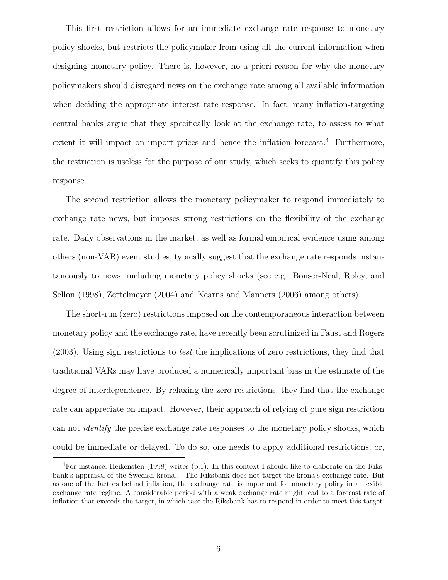This first restriction allows for an immediate exchange rate response to monetary policy shocks, but restricts the policymaker from using all the current information when designing monetary policy. There is, however, no a priori reason for why the monetary policymakers should disregard news on the exchange rate among all available information when deciding the appropriate interest rate response. In fact, many inflation-targeting central banks argue that they specifically look at the exchange rate, to assess to what extent it will impact on import prices and hence the inflation forecast.<sup>4</sup> Furthermore, the restriction is useless for the purpose of our study, which seeks to quantify this policy response.

The second restriction allows the monetary policymaker to respond immediately to exchange rate news, but imposes strong restrictions on the flexibility of the exchange rate. Daily observations in the market, as well as formal empirical evidence using among others (non-VAR) event studies, typically suggest that the exchange rate responds instantaneously to news, including monetary policy shocks (see e.g. Bonser-Neal, Roley, and Sellon (1998), Zettelmeyer (2004) and Kearns and Manners (2006) among others).

The short-run (zero) restrictions imposed on the contemporaneous interaction between monetary policy and the exchange rate, have recently been scrutinized in Faust and Rogers (2003). Using sign restrictions to test the implications of zero restrictions, they find that traditional VARs may have produced a numerically important bias in the estimate of the degree of interdependence. By relaxing the zero restrictions, they find that the exchange rate can appreciate on impact. However, their approach of relying of pure sign restriction can not identify the precise exchange rate responses to the monetary policy shocks, which could be immediate or delayed. To do so, one needs to apply additional restrictions, or,

<sup>&</sup>lt;sup>4</sup>For instance, Heikensten (1998) writes (p.1): In this context I should like to elaborate on the Riksbank's appraisal of the Swedish krona... The Riksbank does not target the krona's exchange rate. But as one of the factors behind inflation, the exchange rate is important for monetary policy in a flexible exchange rate regime. A considerable period with a weak exchange rate might lead to a forecast rate of inflation that exceeds the target, in which case the Riksbank has to respond in order to meet this target.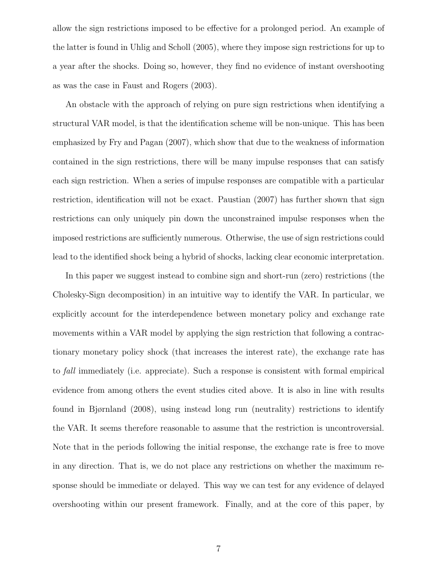allow the sign restrictions imposed to be effective for a prolonged period. An example of the latter is found in Uhlig and Scholl (2005), where they impose sign restrictions for up to a year after the shocks. Doing so, however, they find no evidence of instant overshooting as was the case in Faust and Rogers (2003).

An obstacle with the approach of relying on pure sign restrictions when identifying a structural VAR model, is that the identification scheme will be non-unique. This has been emphasized by Fry and Pagan (2007), which show that due to the weakness of information contained in the sign restrictions, there will be many impulse responses that can satisfy each sign restriction. When a series of impulse responses are compatible with a particular restriction, identification will not be exact. Paustian (2007) has further shown that sign restrictions can only uniquely pin down the unconstrained impulse responses when the imposed restrictions are sufficiently numerous. Otherwise, the use of sign restrictions could lead to the identified shock being a hybrid of shocks, lacking clear economic interpretation.

In this paper we suggest instead to combine sign and short-run (zero) restrictions (the Cholesky-Sign decomposition) in an intuitive way to identify the VAR. In particular, we explicitly account for the interdependence between monetary policy and exchange rate movements within a VAR model by applying the sign restriction that following a contractionary monetary policy shock (that increases the interest rate), the exchange rate has to fall immediately (i.e. appreciate). Such a response is consistent with formal empirical evidence from among others the event studies cited above. It is also in line with results found in Bjørnland (2008), using instead long run (neutrality) restrictions to identify the VAR. It seems therefore reasonable to assume that the restriction is uncontroversial. Note that in the periods following the initial response, the exchange rate is free to move in any direction. That is, we do not place any restrictions on whether the maximum response should be immediate or delayed. This way we can test for any evidence of delayed overshooting within our present framework. Finally, and at the core of this paper, by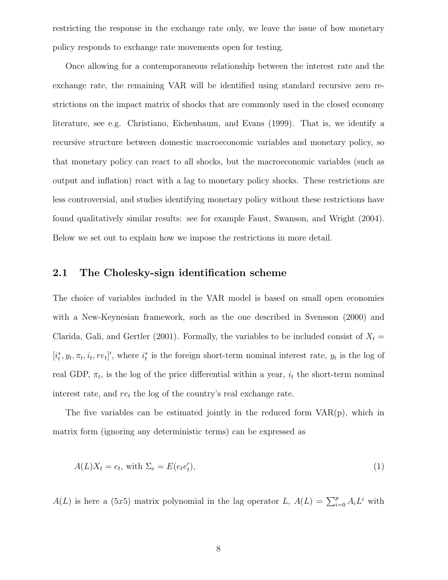restricting the response in the exchange rate only, we leave the issue of how monetary policy responds to exchange rate movements open for testing.

Once allowing for a contemporaneous relationship between the interest rate and the exchange rate, the remaining VAR will be identified using standard recursive zero restrictions on the impact matrix of shocks that are commonly used in the closed economy literature, see e.g. Christiano, Eichenbaum, and Evans (1999). That is, we identify a recursive structure between domestic macroeconomic variables and monetary policy, so that monetary policy can react to all shocks, but the macroeconomic variables (such as output and inflation) react with a lag to monetary policy shocks. These restrictions are less controversial, and studies identifying monetary policy without these restrictions have found qualitatively similar results: see for example Faust, Swanson, and Wright (2004). Below we set out to explain how we impose the restrictions in more detail.

#### 2.1 The Cholesky-sign identification scheme

The choice of variables included in the VAR model is based on small open economies with a New-Keynesian framework, such as the one described in Svensson (2000) and Clarida, Gali, and Gertler (2001). Formally, the variables to be included consist of  $X_t =$  $[i_t^*$  $t^*, y_t, \pi_t, i_t, re_t]'$ , where  $i_t^*$  $t$ <sup>\*</sup> is the foreign short-term nominal interest rate,  $y_t$  is the log of real GDP,  $\pi_t$ , is the log of the price differential within a year,  $i_t$  the short-term nominal interest rate, and  $re_t$  the log of the country's real exchange rate.

The five variables can be estimated jointly in the reduced form  $VAR(p)$ , which in matrix form (ignoring any deterministic terms) can be expressed as

$$
A(L)X_t = e_t, \text{ with } \Sigma_e = E(e_t e_t'),\tag{1}
$$

 $A(L)$  is here a (5x5) matrix polynomial in the lag operator L,  $A(L) = \sum_{i=0}^{p} A_i L^i$  with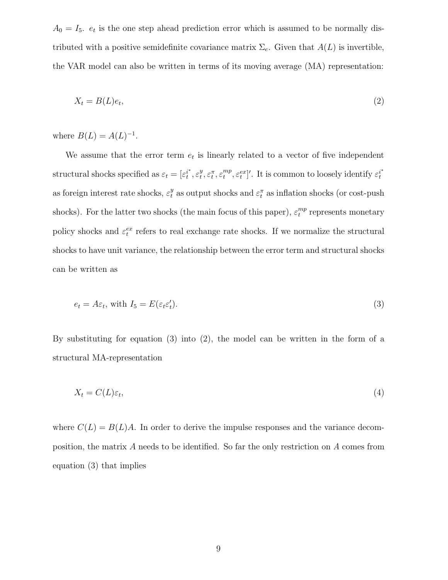$A_0 = I_5$ ,  $e_t$  is the one step ahead prediction error which is assumed to be normally distributed with a positive semidefinite covariance matrix  $\Sigma_e$ . Given that  $A(L)$  is invertible, the VAR model can also be written in terms of its moving average (MA) representation:

$$
X_t = B(L)e_t,\tag{2}
$$

where  $B(L) = A(L)^{-1}$ .

We assume that the error term  $e_t$  is linearly related to a vector of five independent structural shocks specified as  $\varepsilon_t = [\varepsilon_t^{i^*}]$  $i^*, \varepsilon_t^y$  $t^y, \varepsilon_t^{\pi}, \varepsilon_t^{mp}$  $\int_t^{mp}, \varepsilon_t^{ex}$ ''. It is common to loosely identify  $\varepsilon_t^{i^*}$ t as foreign interest rate shocks,  $\varepsilon_t^y$  as output shocks and  $\varepsilon_t^{\pi}$  as inflation shocks (or cost-push shocks). For the latter two shocks (the main focus of this paper),  $\varepsilon_t^{mp}$  $t_t^{mp}$  represents monetary policy shocks and  $\varepsilon_t^{ex}$  refers to real exchange rate shocks. If we normalize the structural shocks to have unit variance, the relationship between the error term and structural shocks can be written as

$$
e_t = A\varepsilon_t, \text{ with } I_5 = E(\varepsilon_t \varepsilon'_t). \tag{3}
$$

By substituting for equation (3) into (2), the model can be written in the form of a structural MA-representation

$$
X_t = C(L)\varepsilon_t,\tag{4}
$$

where  $C(L) = B(L)A$ . In order to derive the impulse responses and the variance decomposition, the matrix A needs to be identified. So far the only restriction on A comes from equation (3) that implies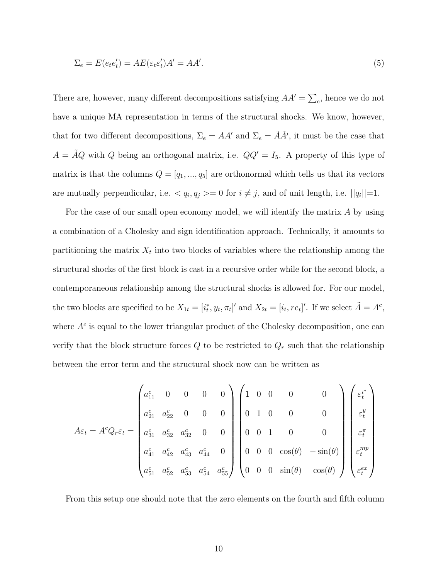$$
\Sigma_e = E(e_t e_t') = AE(\varepsilon_t \varepsilon_t') A' = AA'.
$$
\n(5)

There are, however, many different decompositions satisfying  $AA' = \sum_{e}$ , hence we do not have a unique MA representation in terms of the structural shocks. We know, however, that for two different decompositions,  $\Sigma_e = AA'$  and  $\Sigma_e = \tilde{A}\tilde{A}'$ , it must be the case that  $A = \tilde{A}Q$  with Q being an orthogonal matrix, i.e.  $QQ' = I_5$ . A property of this type of matrix is that the columns  $Q = [q_1, ..., q_5]$  are orthonormal which tells us that its vectors are mutually perpendicular, i.e.  $\langle q_i, q_j \rangle = 0$  for  $i \neq j$ , and of unit length, i.e.  $||q_i||=1$ .

For the case of our small open economy model, we will identify the matrix A by using a combination of a Cholesky and sign identification approach. Technically, it amounts to partitioning the matrix  $X_t$  into two blocks of variables where the relationship among the structural shocks of the first block is cast in a recursive order while for the second block, a contemporaneous relationship among the structural shocks is allowed for. For our model, the two blocks are specified to be  $X_{1t} = [i_t^*]$  $[t, y_t, \pi_t]'$  and  $X_{2t} = [i_t, re_t]'$ . If we select  $\tilde{A} = A^c$ , where  $A<sup>c</sup>$  is equal to the lower triangular product of the Cholesky decomposition, one can verify that the block structure forces  $Q$  to be restricted to  $Q_r$  such that the relationship between the error term and the structural shock now can be written as

$$
A\varepsilon_t = A^c Q_r \varepsilon_t = \begin{pmatrix} a_{11}^c & 0 & 0 & 0 & 0 \\ a_{21}^c & a_{22}^c & 0 & 0 & 0 \\ a_{31}^c & a_{32}^c & a_{32}^c & 0 & 0 \\ a_{41}^c & a_{42}^c & a_{43}^c & a_{44}^c & 0 \\ a_{51}^c & a_{52}^c & a_{53}^c & a_{54}^c & a_{55}^c \end{pmatrix} \begin{pmatrix} 1 & 0 & 0 & 0 & 0 \\ 0 & 1 & 0 & 0 & 0 \\ 0 & 0 & 1 & 0 & 0 \\ 0 & 0 & 0 & \cos(\theta) & -\sin(\theta) \\ 0 & 0 & 0 & \sin(\theta) & \cos(\theta) \end{pmatrix} \begin{pmatrix} \varepsilon_t^{i^*} \\ \varepsilon_t^{i^*} \\ \varepsilon_t^{m} \\ \varepsilon_t^{m} \\ \varepsilon_t^{ex} \end{pmatrix}
$$

From this setup one should note that the zero elements on the fourth and fifth column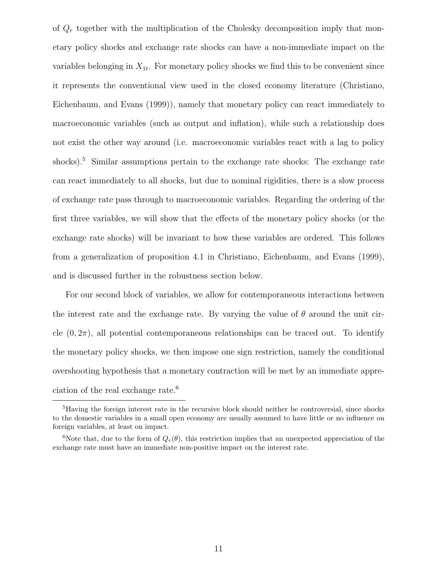of  $Q_r$  together with the multiplication of the Cholesky decomposition imply that monetary policy shocks and exchange rate shocks can have a non-immediate impact on the variables belonging in  $X_{1t}$ . For monetary policy shocks we find this to be convenient since it represents the conventional view used in the closed economy literature (Christiano, Eichenbaum, and Evans (1999)), namely that monetary policy can react immediately to macroeconomic variables (such as output and inflation), while such a relationship does not exist the other way around (i.e. macroeconomic variables react with a lag to policy shocks).<sup>5</sup> Similar assumptions pertain to the exchange rate shocks: The exchange rate can react immediately to all shocks, but due to nominal rigidities, there is a slow process of exchange rate pass through to macroeconomic variables. Regarding the ordering of the first three variables, we will show that the effects of the monetary policy shocks (or the exchange rate shocks) will be invariant to how these variables are ordered. This follows from a generalization of proposition 4.1 in Christiano, Eichenbaum, and Evans (1999), and is discussed further in the robustness section below.

For our second block of variables, we allow for contemporaneous interactions between the interest rate and the exchange rate. By varying the value of  $\theta$  around the unit circle  $(0, 2\pi)$ , all potential contemporaneous relationships can be traced out. To identify the monetary policy shocks, we then impose one sign restriction, namely the conditional overshooting hypothesis that a monetary contraction will be met by an immediate appreciation of the real exchange rate.<sup>6</sup>

<sup>&</sup>lt;sup>5</sup>Having the foreign interest rate in the recursive block should neither be controversial, since shocks to the domestic variables in a small open economy are usually assumed to have little or no influence on foreign variables, at least on impact.

<sup>&</sup>lt;sup>6</sup>Note that, due to the form of  $Q_r(\theta)$ , this restriction implies that an unexpected appreciation of the exchange rate must have an immediate non-positive impact on the interest rate.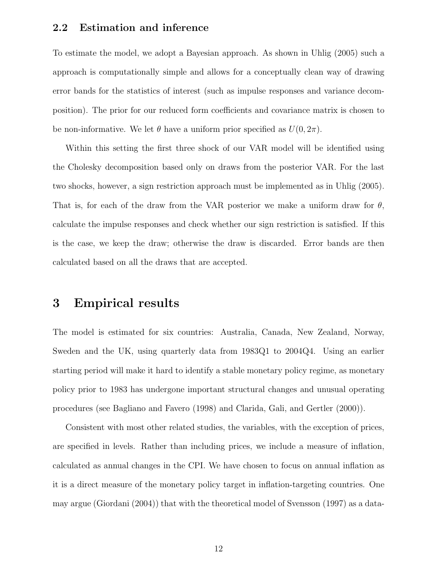#### 2.2 Estimation and inference

To estimate the model, we adopt a Bayesian approach. As shown in Uhlig (2005) such a approach is computationally simple and allows for a conceptually clean way of drawing error bands for the statistics of interest (such as impulse responses and variance decomposition). The prior for our reduced form coefficients and covariance matrix is chosen to be non-informative. We let  $\theta$  have a uniform prior specified as  $U(0, 2\pi)$ .

Within this setting the first three shock of our VAR model will be identified using the Cholesky decomposition based only on draws from the posterior VAR. For the last two shocks, however, a sign restriction approach must be implemented as in Uhlig (2005). That is, for each of the draw from the VAR posterior we make a uniform draw for  $\theta$ , calculate the impulse responses and check whether our sign restriction is satisfied. If this is the case, we keep the draw; otherwise the draw is discarded. Error bands are then calculated based on all the draws that are accepted.

#### 3 Empirical results

The model is estimated for six countries: Australia, Canada, New Zealand, Norway, Sweden and the UK, using quarterly data from 1983Q1 to 2004Q4. Using an earlier starting period will make it hard to identify a stable monetary policy regime, as monetary policy prior to 1983 has undergone important structural changes and unusual operating procedures (see Bagliano and Favero (1998) and Clarida, Gali, and Gertler (2000)).

Consistent with most other related studies, the variables, with the exception of prices, are specified in levels. Rather than including prices, we include a measure of inflation, calculated as annual changes in the CPI. We have chosen to focus on annual inflation as it is a direct measure of the monetary policy target in inflation-targeting countries. One may argue (Giordani (2004)) that with the theoretical model of Svensson (1997) as a data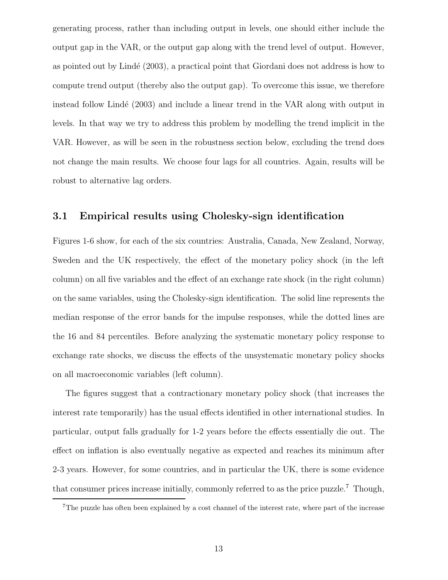generating process, rather than including output in levels, one should either include the output gap in the VAR, or the output gap along with the trend level of output. However, as pointed out by Lind´e (2003), a practical point that Giordani does not address is how to compute trend output (thereby also the output gap). To overcome this issue, we therefore instead follow Lindé (2003) and include a linear trend in the VAR along with output in levels. In that way we try to address this problem by modelling the trend implicit in the VAR. However, as will be seen in the robustness section below, excluding the trend does not change the main results. We choose four lags for all countries. Again, results will be robust to alternative lag orders.

#### 3.1 Empirical results using Cholesky-sign identification

Figures 1-6 show, for each of the six countries: Australia, Canada, New Zealand, Norway, Sweden and the UK respectively, the effect of the monetary policy shock (in the left column) on all five variables and the effect of an exchange rate shock (in the right column) on the same variables, using the Cholesky-sign identification. The solid line represents the median response of the error bands for the impulse responses, while the dotted lines are the 16 and 84 percentiles. Before analyzing the systematic monetary policy response to exchange rate shocks, we discuss the effects of the unsystematic monetary policy shocks on all macroeconomic variables (left column).

The figures suggest that a contractionary monetary policy shock (that increases the interest rate temporarily) has the usual effects identified in other international studies. In particular, output falls gradually for 1-2 years before the effects essentially die out. The effect on inflation is also eventually negative as expected and reaches its minimum after 2-3 years. However, for some countries, and in particular the UK, there is some evidence that consumer prices increase initially, commonly referred to as the price puzzle.<sup>7</sup> Though,

<sup>7</sup>The puzzle has often been explained by a cost channel of the interest rate, where part of the increase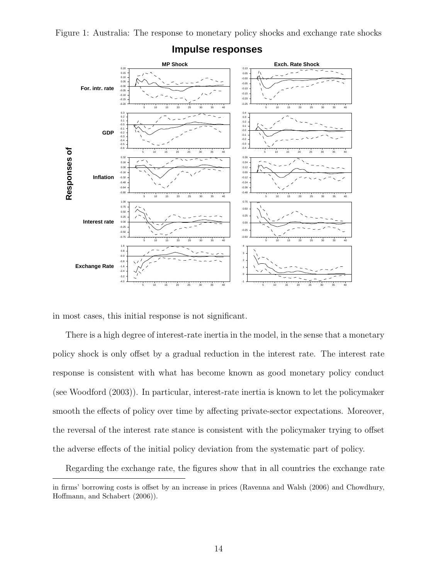Figure 1: Australia: The response to monetary policy shocks and exchange rate shocks



#### **Impulse responses**

in most cases, this initial response is not significant.

There is a high degree of interest-rate inertia in the model, in the sense that a monetary policy shock is only offset by a gradual reduction in the interest rate. The interest rate response is consistent with what has become known as good monetary policy conduct (see Woodford (2003)). In particular, interest-rate inertia is known to let the policymaker smooth the effects of policy over time by affecting private-sector expectations. Moreover, the reversal of the interest rate stance is consistent with the policymaker trying to offset the adverse effects of the initial policy deviation from the systematic part of policy.

Regarding the exchange rate, the figures show that in all countries the exchange rate

in firms' borrowing costs is offset by an increase in prices (Ravenna and Walsh (2006) and Chowdhury, Hoffmann, and Schabert (2006)).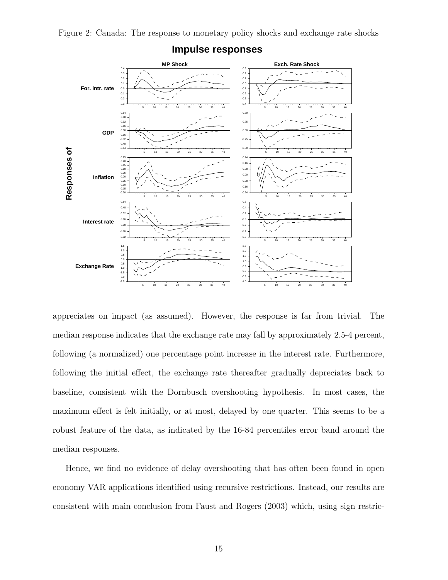Figure 2: Canada: The response to monetary policy shocks and exchange rate shocks



#### **Impulse responses**

appreciates on impact (as assumed). However, the response is far from trivial. The median response indicates that the exchange rate may fall by approximately 2.5-4 percent, following (a normalized) one percentage point increase in the interest rate. Furthermore, following the initial effect, the exchange rate thereafter gradually depreciates back to baseline, consistent with the Dornbusch overshooting hypothesis. In most cases, the maximum effect is felt initially, or at most, delayed by one quarter. This seems to be a robust feature of the data, as indicated by the 16-84 percentiles error band around the median responses.

Hence, we find no evidence of delay overshooting that has often been found in open economy VAR applications identified using recursive restrictions. Instead, our results are consistent with main conclusion from Faust and Rogers (2003) which, using sign restric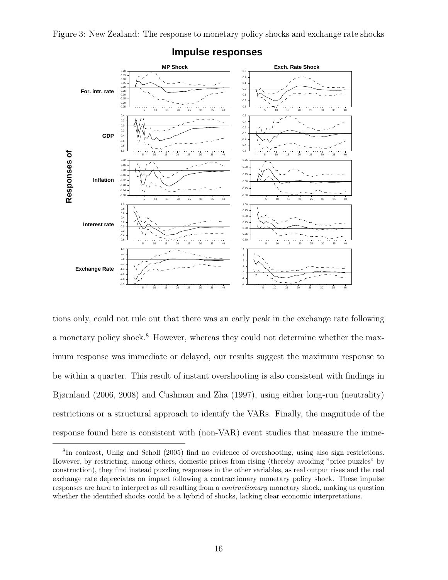Figure 3: New Zealand: The response to monetary policy shocks and exchange rate shocks



#### **Impulse responses**

tions only, could not rule out that there was an early peak in the exchange rate following a monetary policy shock.<sup>8</sup> However, whereas they could not determine whether the maximum response was immediate or delayed, our results suggest the maximum response to be within a quarter. This result of instant overshooting is also consistent with findings in Bjørnland (2006, 2008) and Cushman and Zha (1997), using either long-run (neutrality) restrictions or a structural approach to identify the VARs. Finally, the magnitude of the response found here is consistent with (non-VAR) event studies that measure the imme-

<sup>8</sup> In contrast, Uhlig and Scholl (2005) find no evidence of overshooting, using also sign restrictions. However, by restricting, among others, domestic prices from rising (thereby avoiding "price puzzles" by construction), they find instead puzzling responses in the other variables, as real output rises and the real exchange rate depreciates on impact following a contractionary monetary policy shock. These impulse responses are hard to interpret as all resulting from a contractionary monetary shock, making us question whether the identified shocks could be a hybrid of shocks, lacking clear economic interpretations.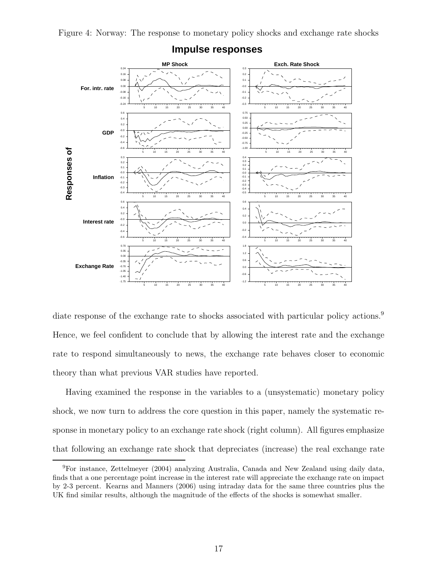Figure 4: Norway: The response to monetary policy shocks and exchange rate shocks



#### **Impulse responses**

diate response of the exchange rate to shocks associated with particular policy actions.<sup>9</sup> Hence, we feel confident to conclude that by allowing the interest rate and the exchange rate to respond simultaneously to news, the exchange rate behaves closer to economic theory than what previous VAR studies have reported.

Having examined the response in the variables to a (unsystematic) monetary policy shock, we now turn to address the core question in this paper, namely the systematic response in monetary policy to an exchange rate shock (right column). All figures emphasize that following an exchange rate shock that depreciates (increase) the real exchange rate

<sup>9</sup>For instance, Zettelmeyer (2004) analyzing Australia, Canada and New Zealand using daily data, finds that a one percentage point increase in the interest rate will appreciate the exchange rate on impact by 2-3 percent. Kearns and Manners (2006) using intraday data for the same three countries plus the UK find similar results, although the magnitude of the effects of the shocks is somewhat smaller.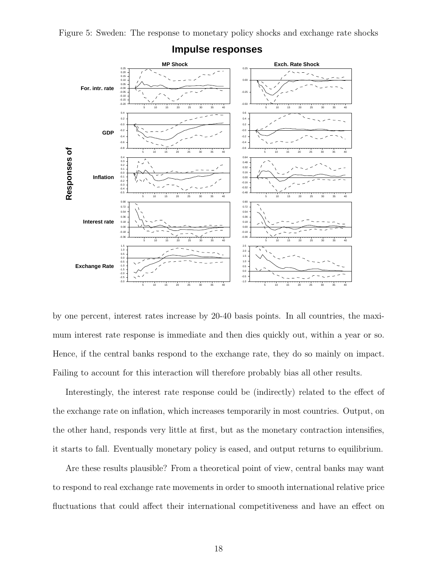Figure 5: Sweden: The response to monetary policy shocks and exchange rate shocks



#### **Impulse responses**

by one percent, interest rates increase by 20-40 basis points. In all countries, the maximum interest rate response is immediate and then dies quickly out, within a year or so. Hence, if the central banks respond to the exchange rate, they do so mainly on impact. Failing to account for this interaction will therefore probably bias all other results.

Interestingly, the interest rate response could be (indirectly) related to the effect of the exchange rate on inflation, which increases temporarily in most countries. Output, on the other hand, responds very little at first, but as the monetary contraction intensifies, it starts to fall. Eventually monetary policy is eased, and output returns to equilibrium.

Are these results plausible? From a theoretical point of view, central banks may want to respond to real exchange rate movements in order to smooth international relative price fluctuations that could affect their international competitiveness and have an effect on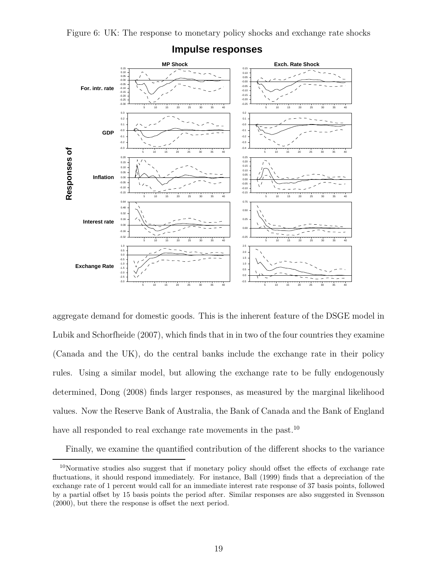

aggregate demand for domestic goods. This is the inherent feature of the DSGE model in Lubik and Schorfheide (2007), which finds that in in two of the four countries they examine (Canada and the UK), do the central banks include the exchange rate in their policy rules. Using a similar model, but allowing the exchange rate to be fully endogenously determined, Dong (2008) finds larger responses, as measured by the marginal likelihood values. Now the Reserve Bank of Australia, the Bank of Canada and the Bank of England have all responded to real exchange rate movements in the past.<sup>10</sup>

Finally, we examine the quantified contribution of the different shocks to the variance

 $10$ Normative studies also suggest that if monetary policy should offset the effects of exchange rate fluctuations, it should respond immediately. For instance, Ball (1999) finds that a depreciation of the exchange rate of 1 percent would call for an immediate interest rate response of 37 basis points, followed by a partial offset by 15 basis points the period after. Similar responses are also suggested in Svensson (2000), but there the response is offset the next period.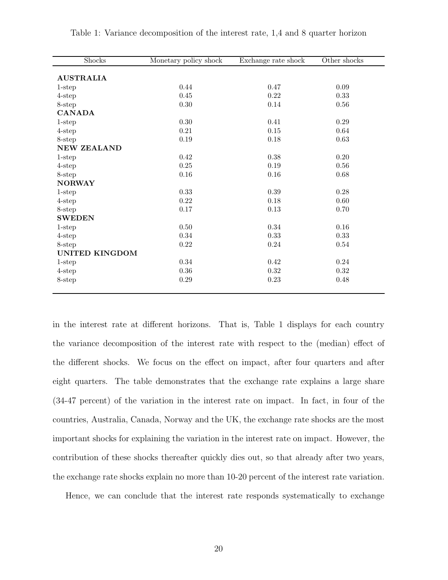| Shocks                | Monetary policy shock | Exchange rate shock | Other shocks |
|-----------------------|-----------------------|---------------------|--------------|
|                       |                       |                     |              |
| <b>AUSTRALIA</b>      |                       |                     |              |
| 1-step                | 0.44                  | 0.47                | 0.09         |
| $4$ -step             | $0.45\,$              | 0.22                | 0.33         |
| 8-step                | $0.30\,$              | 0.14                | $0.56\,$     |
| <b>CANADA</b>         |                       |                     |              |
| $1$ -step             | 0.30                  | 0.41                | 0.29         |
| $4$ -step             | 0.21                  | 0.15                | 0.64         |
| 8-step                | 0.19                  | 0.18                | $0.63\,$     |
| <b>NEW ZEALAND</b>    |                       |                     |              |
| $1$ -step             | 0.42                  | 0.38                | 0.20         |
| $4$ -step             | 0.25                  | 0.19                | $0.56\,$     |
| 8-step                | $0.16\,$              | 0.16                | 0.68         |
| <b>NORWAY</b>         |                       |                     |              |
| $1$ -step             | 0.33                  | 0.39                | 0.28         |
| $4$ -step             | 0.22                  | 0.18                | 0.60         |
| 8-step                | 0.17                  | 0.13                | 0.70         |
| <b>SWEDEN</b>         |                       |                     |              |
| $1$ -step             | 0.50                  | 0.34                | 0.16         |
| $4$ -step             | 0.34                  | 0.33                | 0.33         |
| 8-step                | 0.22                  | 0.24                | 0.54         |
| <b>UNITED KINGDOM</b> |                       |                     |              |
| $1$ -step             | 0.34                  | 0.42                | 0.24         |
| $4$ -step             | $0.36\,$              | 0.32                | 0.32         |
| 8-step                | $0.29\,$              | $0.23\,$            | 0.48         |
|                       |                       |                     |              |

Table 1: Variance decomposition of the interest rate, 1,4 and 8 quarter horizon

in the interest rate at different horizons. That is, Table 1 displays for each country the variance decomposition of the interest rate with respect to the (median) effect of the different shocks. We focus on the effect on impact, after four quarters and after eight quarters. The table demonstrates that the exchange rate explains a large share (34-47 percent) of the variation in the interest rate on impact. In fact, in four of the countries, Australia, Canada, Norway and the UK, the exchange rate shocks are the most important shocks for explaining the variation in the interest rate on impact. However, the contribution of these shocks thereafter quickly dies out, so that already after two years, the exchange rate shocks explain no more than 10-20 percent of the interest rate variation.

Hence, we can conclude that the interest rate responds systematically to exchange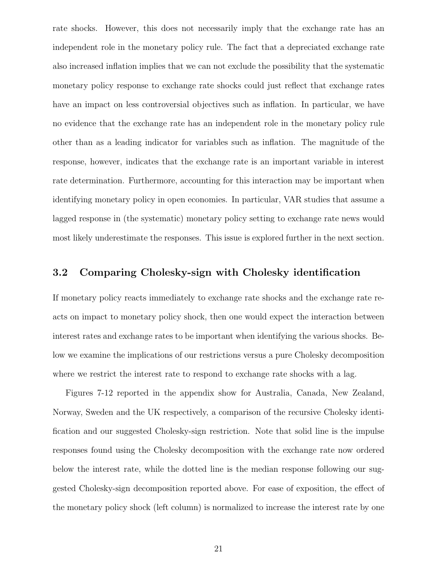rate shocks. However, this does not necessarily imply that the exchange rate has an independent role in the monetary policy rule. The fact that a depreciated exchange rate also increased inflation implies that we can not exclude the possibility that the systematic monetary policy response to exchange rate shocks could just reflect that exchange rates have an impact on less controversial objectives such as inflation. In particular, we have no evidence that the exchange rate has an independent role in the monetary policy rule other than as a leading indicator for variables such as inflation. The magnitude of the response, however, indicates that the exchange rate is an important variable in interest rate determination. Furthermore, accounting for this interaction may be important when identifying monetary policy in open economies. In particular, VAR studies that assume a lagged response in (the systematic) monetary policy setting to exchange rate news would most likely underestimate the responses. This issue is explored further in the next section.

#### 3.2 Comparing Cholesky-sign with Cholesky identification

If monetary policy reacts immediately to exchange rate shocks and the exchange rate reacts on impact to monetary policy shock, then one would expect the interaction between interest rates and exchange rates to be important when identifying the various shocks. Below we examine the implications of our restrictions versus a pure Cholesky decomposition where we restrict the interest rate to respond to exchange rate shocks with a lag.

Figures 7-12 reported in the appendix show for Australia, Canada, New Zealand, Norway, Sweden and the UK respectively, a comparison of the recursive Cholesky identification and our suggested Cholesky-sign restriction. Note that solid line is the impulse responses found using the Cholesky decomposition with the exchange rate now ordered below the interest rate, while the dotted line is the median response following our suggested Cholesky-sign decomposition reported above. For ease of exposition, the effect of the monetary policy shock (left column) is normalized to increase the interest rate by one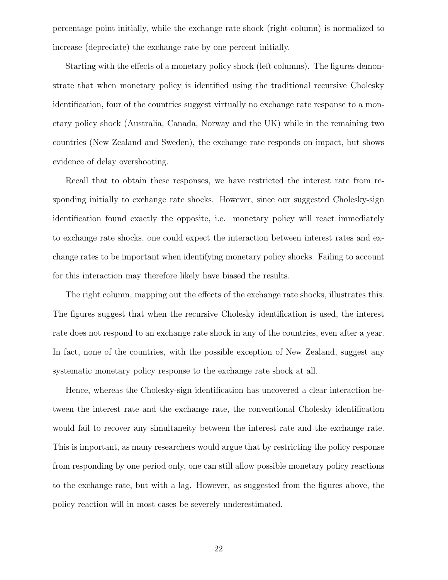percentage point initially, while the exchange rate shock (right column) is normalized to increase (depreciate) the exchange rate by one percent initially.

Starting with the effects of a monetary policy shock (left columns). The figures demonstrate that when monetary policy is identified using the traditional recursive Cholesky identification, four of the countries suggest virtually no exchange rate response to a monetary policy shock (Australia, Canada, Norway and the UK) while in the remaining two countries (New Zealand and Sweden), the exchange rate responds on impact, but shows evidence of delay overshooting.

Recall that to obtain these responses, we have restricted the interest rate from responding initially to exchange rate shocks. However, since our suggested Cholesky-sign identification found exactly the opposite, i.e. monetary policy will react immediately to exchange rate shocks, one could expect the interaction between interest rates and exchange rates to be important when identifying monetary policy shocks. Failing to account for this interaction may therefore likely have biased the results.

The right column, mapping out the effects of the exchange rate shocks, illustrates this. The figures suggest that when the recursive Cholesky identification is used, the interest rate does not respond to an exchange rate shock in any of the countries, even after a year. In fact, none of the countries, with the possible exception of New Zealand, suggest any systematic monetary policy response to the exchange rate shock at all.

Hence, whereas the Cholesky-sign identification has uncovered a clear interaction between the interest rate and the exchange rate, the conventional Cholesky identification would fail to recover any simultaneity between the interest rate and the exchange rate. This is important, as many researchers would argue that by restricting the policy response from responding by one period only, one can still allow possible monetary policy reactions to the exchange rate, but with a lag. However, as suggested from the figures above, the policy reaction will in most cases be severely underestimated.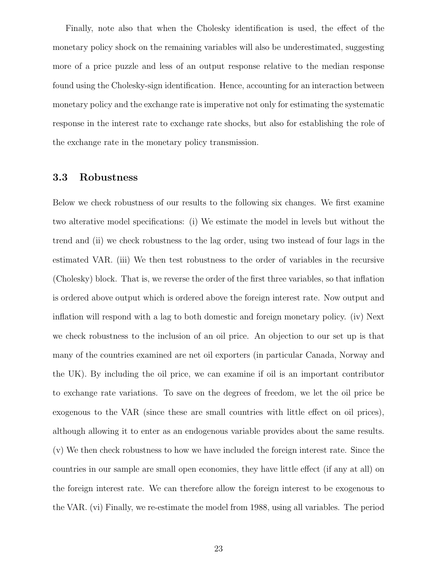Finally, note also that when the Cholesky identification is used, the effect of the monetary policy shock on the remaining variables will also be underestimated, suggesting more of a price puzzle and less of an output response relative to the median response found using the Cholesky-sign identification. Hence, accounting for an interaction between monetary policy and the exchange rate is imperative not only for estimating the systematic response in the interest rate to exchange rate shocks, but also for establishing the role of the exchange rate in the monetary policy transmission.

#### 3.3 Robustness

Below we check robustness of our results to the following six changes. We first examine two alterative model specifications: (i) We estimate the model in levels but without the trend and (ii) we check robustness to the lag order, using two instead of four lags in the estimated VAR. (iii) We then test robustness to the order of variables in the recursive (Cholesky) block. That is, we reverse the order of the first three variables, so that inflation is ordered above output which is ordered above the foreign interest rate. Now output and inflation will respond with a lag to both domestic and foreign monetary policy. (iv) Next we check robustness to the inclusion of an oil price. An objection to our set up is that many of the countries examined are net oil exporters (in particular Canada, Norway and the UK). By including the oil price, we can examine if oil is an important contributor to exchange rate variations. To save on the degrees of freedom, we let the oil price be exogenous to the VAR (since these are small countries with little effect on oil prices), although allowing it to enter as an endogenous variable provides about the same results. (v) We then check robustness to how we have included the foreign interest rate. Since the countries in our sample are small open economies, they have little effect (if any at all) on the foreign interest rate. We can therefore allow the foreign interest to be exogenous to the VAR. (vi) Finally, we re-estimate the model from 1988, using all variables. The period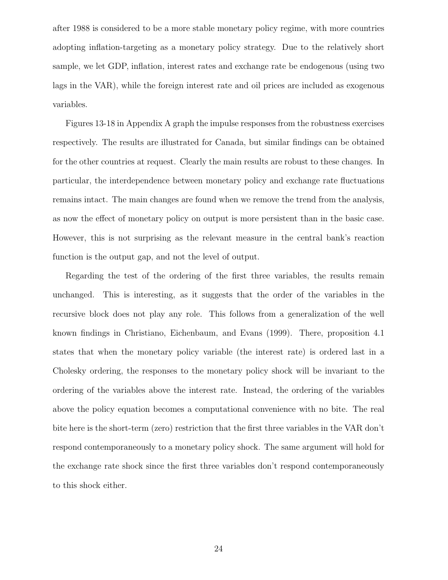after 1988 is considered to be a more stable monetary policy regime, with more countries adopting inflation-targeting as a monetary policy strategy. Due to the relatively short sample, we let GDP, inflation, interest rates and exchange rate be endogenous (using two lags in the VAR), while the foreign interest rate and oil prices are included as exogenous variables.

Figures 13-18 in Appendix A graph the impulse responses from the robustness exercises respectively. The results are illustrated for Canada, but similar findings can be obtained for the other countries at request. Clearly the main results are robust to these changes. In particular, the interdependence between monetary policy and exchange rate fluctuations remains intact. The main changes are found when we remove the trend from the analysis, as now the effect of monetary policy on output is more persistent than in the basic case. However, this is not surprising as the relevant measure in the central bank's reaction function is the output gap, and not the level of output.

Regarding the test of the ordering of the first three variables, the results remain unchanged. This is interesting, as it suggests that the order of the variables in the recursive block does not play any role. This follows from a generalization of the well known findings in Christiano, Eichenbaum, and Evans (1999). There, proposition 4.1 states that when the monetary policy variable (the interest rate) is ordered last in a Cholesky ordering, the responses to the monetary policy shock will be invariant to the ordering of the variables above the interest rate. Instead, the ordering of the variables above the policy equation becomes a computational convenience with no bite. The real bite here is the short-term (zero) restriction that the first three variables in the VAR don't respond contemporaneously to a monetary policy shock. The same argument will hold for the exchange rate shock since the first three variables don't respond contemporaneously to this shock either.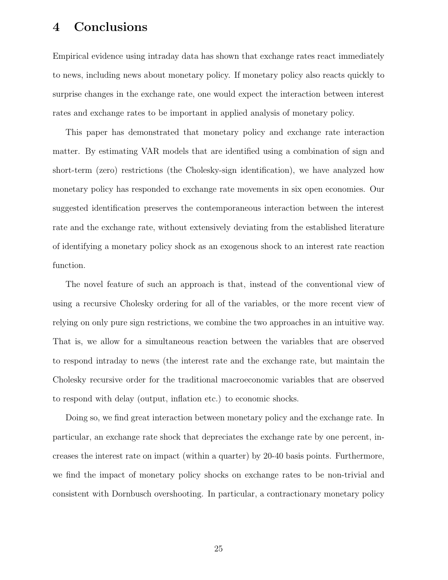# 4 Conclusions

Empirical evidence using intraday data has shown that exchange rates react immediately to news, including news about monetary policy. If monetary policy also reacts quickly to surprise changes in the exchange rate, one would expect the interaction between interest rates and exchange rates to be important in applied analysis of monetary policy.

This paper has demonstrated that monetary policy and exchange rate interaction matter. By estimating VAR models that are identified using a combination of sign and short-term (zero) restrictions (the Cholesky-sign identification), we have analyzed how monetary policy has responded to exchange rate movements in six open economies. Our suggested identification preserves the contemporaneous interaction between the interest rate and the exchange rate, without extensively deviating from the established literature of identifying a monetary policy shock as an exogenous shock to an interest rate reaction function.

The novel feature of such an approach is that, instead of the conventional view of using a recursive Cholesky ordering for all of the variables, or the more recent view of relying on only pure sign restrictions, we combine the two approaches in an intuitive way. That is, we allow for a simultaneous reaction between the variables that are observed to respond intraday to news (the interest rate and the exchange rate, but maintain the Cholesky recursive order for the traditional macroeconomic variables that are observed to respond with delay (output, inflation etc.) to economic shocks.

Doing so, we find great interaction between monetary policy and the exchange rate. In particular, an exchange rate shock that depreciates the exchange rate by one percent, increases the interest rate on impact (within a quarter) by 20-40 basis points. Furthermore, we find the impact of monetary policy shocks on exchange rates to be non-trivial and consistent with Dornbusch overshooting. In particular, a contractionary monetary policy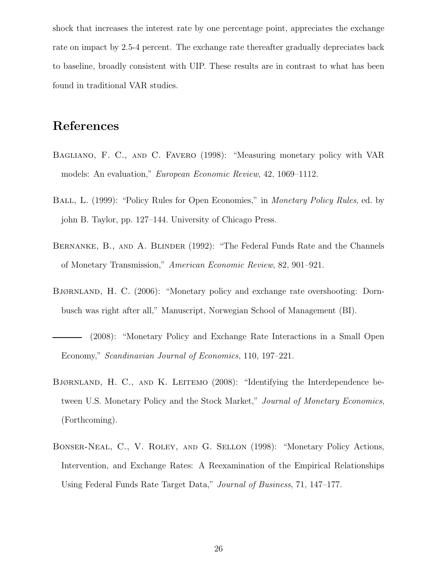shock that increases the interest rate by one percentage point, appreciates the exchange rate on impact by 2.5-4 percent. The exchange rate thereafter gradually depreciates back to baseline, broadly consistent with UIP. These results are in contrast to what has been found in traditional VAR studies.

# References

- BAGLIANO, F. C., AND C. FAVERO (1998): "Measuring monetary policy with VAR models: An evaluation," European Economic Review, 42, 1069–1112.
- BALL, L. (1999): "Policy Rules for Open Economies," in *Monetary Policy Rules*, ed. by john B. Taylor, pp. 127–144. University of Chicago Press.
- BERNANKE, B., AND A. BLINDER (1992): "The Federal Funds Rate and the Channels of Monetary Transmission," American Economic Review, 82, 901–921.
- Bjørnland, H. C. (2006): "Monetary policy and exchange rate overshooting: Dornbusch was right after all," Manuscript, Norwegian School of Management (BI).
- (2008): "Monetary Policy and Exchange Rate Interactions in a Small Open Economy," Scandinavian Journal of Economics, 110, 197–221.
- BJØRNLAND, H. C., AND K. LEITEMO (2008): "Identifying the Interdependence between U.S. Monetary Policy and the Stock Market," Journal of Monetary Economics, (Forthcoming).
- Bonser-Neal, C., V. Roley, and G. Sellon (1998): "Monetary Policy Actions, Intervention, and Exchange Rates: A Reexamination of the Empirical Relationships Using Federal Funds Rate Target Data," Journal of Business, 71, 147–177.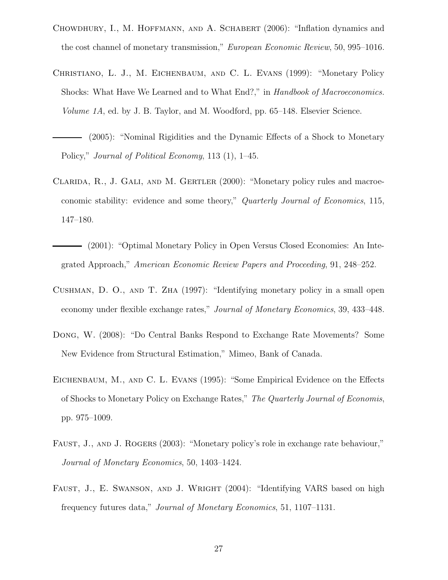- CHOWDHURY, I., M. HOFFMANN, AND A. SCHABERT (2006): "Inflation dynamics and the cost channel of monetary transmission," European Economic Review, 50, 995–1016.
- Christiano, L. J., M. Eichenbaum, and C. L. Evans (1999): "Monetary Policy Shocks: What Have We Learned and to What End?," in Handbook of Macroeconomics. Volume 1A, ed. by J. B. Taylor, and M. Woodford, pp. 65–148. Elsevier Science.
- (2005): "Nominal Rigidities and the Dynamic Effects of a Shock to Monetary Policy," Journal of Political Economy, 113 (1), 1–45.
- Clarida, R., J. Gali, and M. Gertler (2000): "Monetary policy rules and macroeconomic stability: evidence and some theory," Quarterly Journal of Economics, 115, 147–180.
- (2001): "Optimal Monetary Policy in Open Versus Closed Economies: An Integrated Approach," American Economic Review Papers and Proceeding, 91, 248–252.
- Cushman, D. O., and T. Zha (1997): "Identifying monetary policy in a small open economy under flexible exchange rates," Journal of Monetary Economics, 39, 433–448.
- Dong, W. (2008): "Do Central Banks Respond to Exchange Rate Movements? Some New Evidence from Structural Estimation," Mimeo, Bank of Canada.
- Eichenbaum, M., and C. L. Evans (1995): "Some Empirical Evidence on the Effects of Shocks to Monetary Policy on Exchange Rates," The Quarterly Journal of Economis, pp. 975–1009.
- FAUST, J., AND J. ROGERS (2003): "Monetary policy's role in exchange rate behaviour," Journal of Monetary Economics, 50, 1403–1424.
- FAUST, J., E. SWANSON, AND J. WRIGHT (2004): "Identifying VARS based on high frequency futures data," Journal of Monetary Economics, 51, 1107–1131.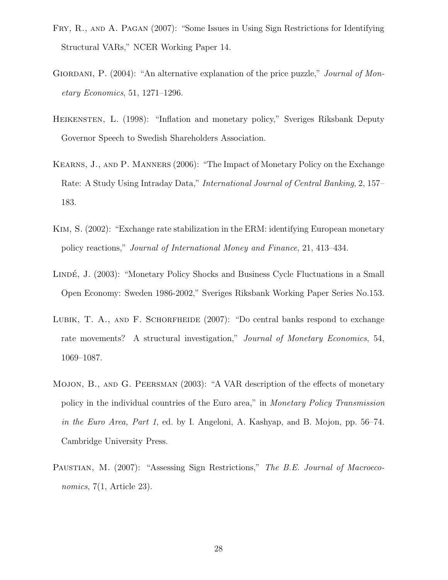- Fry, R., and A. Pagan (2007): "Some Issues in Using Sign Restrictions for Identifying Structural VARs," NCER Working Paper 14.
- GIORDANI, P. (2004): "An alternative explanation of the price puzzle," *Journal of Mon*etary Economics, 51, 1271–1296.
- Heikensten, L. (1998): "Inflation and monetary policy," Sveriges Riksbank Deputy Governor Speech to Swedish Shareholders Association.
- Kearns, J., and P. Manners (2006): "The Impact of Monetary Policy on the Exchange Rate: A Study Using Intraday Data," International Journal of Central Banking, 2, 157– 183.
- Kim, S. (2002): "Exchange rate stabilization in the ERM: identifying European monetary policy reactions," Journal of International Money and Finance, 21, 413–434.
- LINDÉ, J. (2003): "Monetary Policy Shocks and Business Cycle Fluctuations in a Small Open Economy: Sweden 1986-2002," Sveriges Riksbank Working Paper Series No.153.
- LUBIK, T. A., AND F. SCHORFHEIDE (2007): "Do central banks respond to exchange rate movements? A structural investigation," Journal of Monetary Economics, 54, 1069–1087.
- Mojon, B., and G. Peersman (2003): "A VAR description of the effects of monetary policy in the individual countries of the Euro area," in Monetary Policy Transmission in the Euro Area, Part 1, ed. by I. Angeloni, A. Kashyap, and B. Mojon, pp. 56–74. Cambridge University Press.
- PAUSTIAN, M. (2007): "Assessing Sign Restrictions," The B.E. Journal of Macroeconomics, 7(1, Article 23).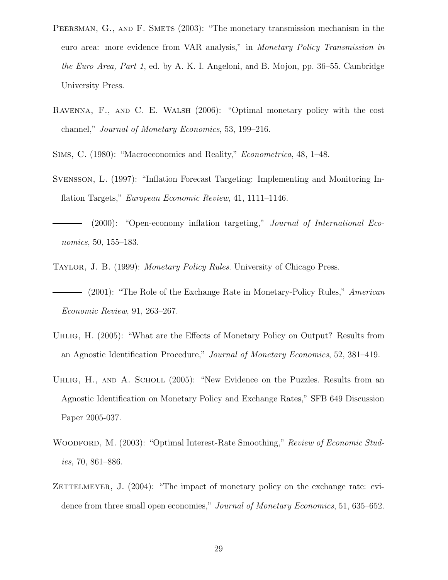- PEERSMAN, G., AND F. SMETS (2003): "The monetary transmission mechanism in the euro area: more evidence from VAR analysis," in Monetary Policy Transmission in the Euro Area, Part 1, ed. by A. K. I. Angeloni, and B. Mojon, pp. 36–55. Cambridge University Press.
- Ravenna, F., and C. E. Walsh (2006): "Optimal monetary policy with the cost channel," Journal of Monetary Economics, 53, 199–216.
- Sims, C. (1980): "Macroeconomics and Reality," Econometrica, 48, 1–48.
- Svensson, L. (1997): "Inflation Forecast Targeting: Implementing and Monitoring Inflation Targets," *European Economic Review*, 41, 1111–1146.
- (2000): "Open-economy inflation targeting," Journal of International Economics, 50, 155–183.
- Taylor, J. B. (1999): Monetary Policy Rules. University of Chicago Press.
- (2001): "The Role of the Exchange Rate in Monetary-Policy Rules," *American* Economic Review, 91, 263–267.
- Uhlig, H. (2005): "What are the Effects of Monetary Policy on Output? Results from an Agnostic Identification Procedure," Journal of Monetary Economics, 52, 381–419.
- UHLIG, H., AND A. SCHOLL (2005): "New Evidence on the Puzzles. Results from an Agnostic Identification on Monetary Policy and Exchange Rates," SFB 649 Discussion Paper 2005-037.
- WOODFORD, M. (2003): "Optimal Interest-Rate Smoothing," Review of Economic Studies, 70, 861–886.
- ZETTELMEYER, J.  $(2004)$ : "The impact of monetary policy on the exchange rate: evidence from three small open economies," Journal of Monetary Economics, 51, 635–652.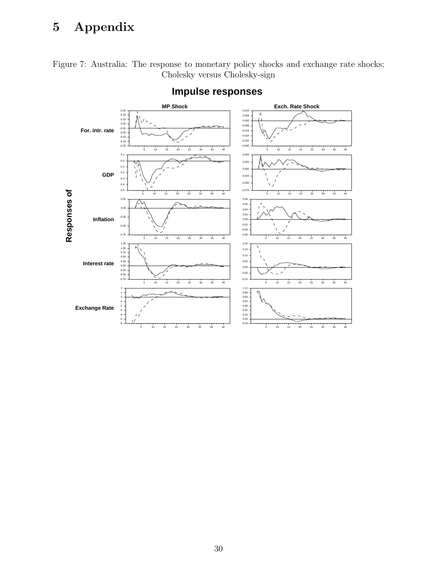# 5 Appendix

Figure 7: Australia: The response to monetary policy shocks and exchange rate shocks; Cholesky versus Cholesky-sign **Impulse responses**

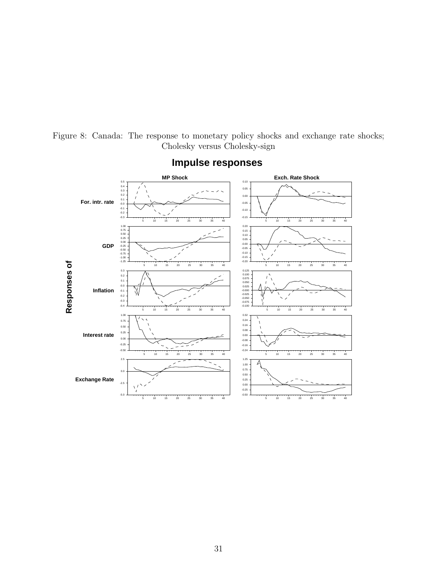

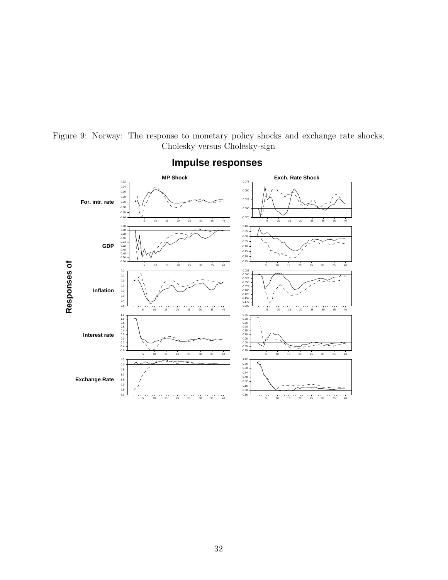Figure 9: Norway: The response to monetary policy shocks and exchange rate shocks; Cholesky versus Cholesky-sign

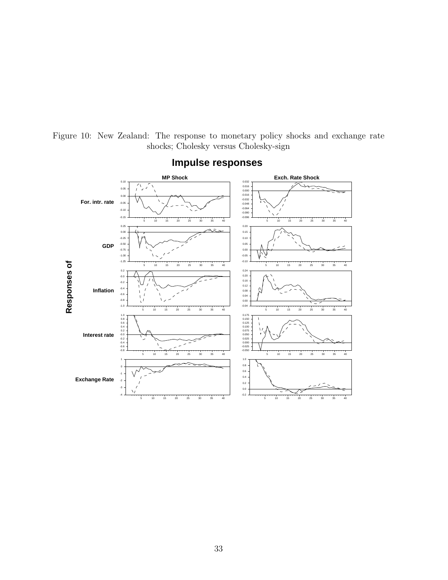

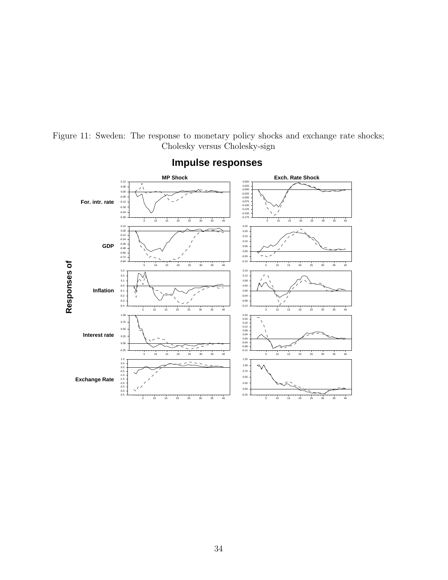

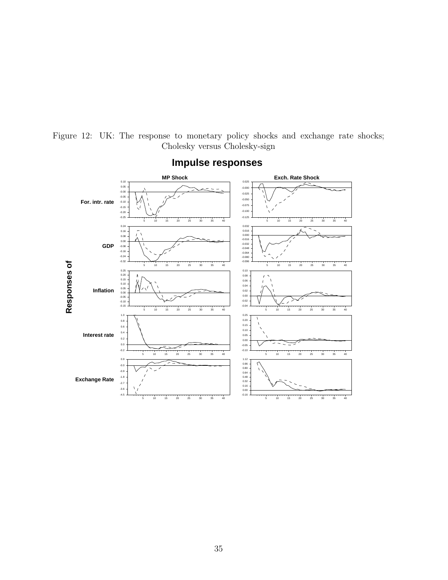

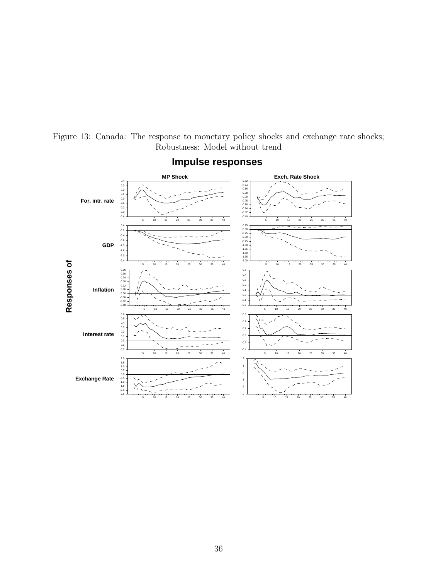

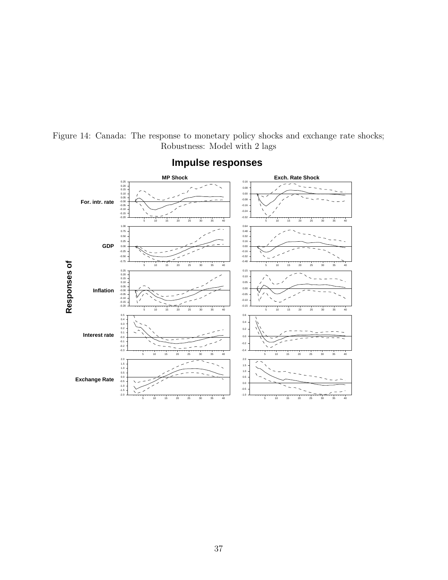

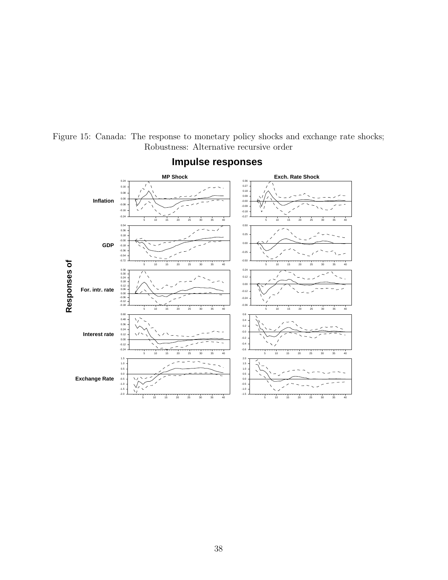

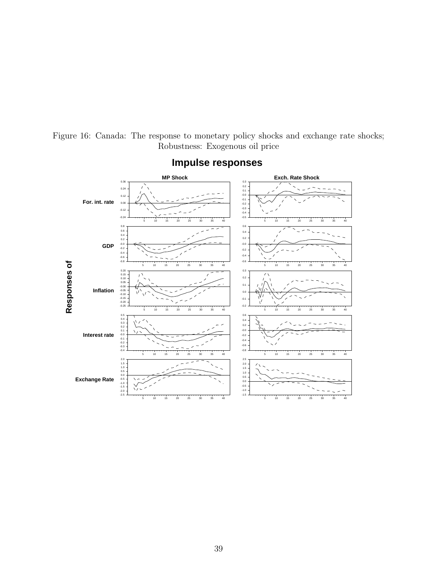Figure 16: Canada: The response to monetary policy shocks and exchange rate shocks; Robustness: Exogenous oil price

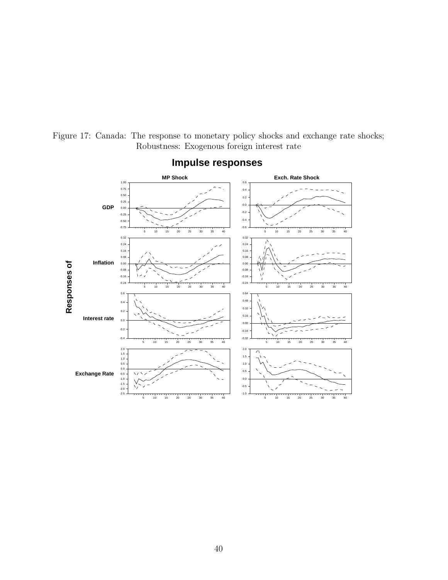

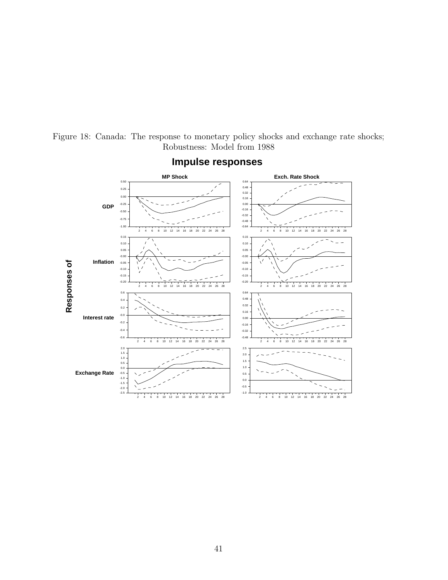

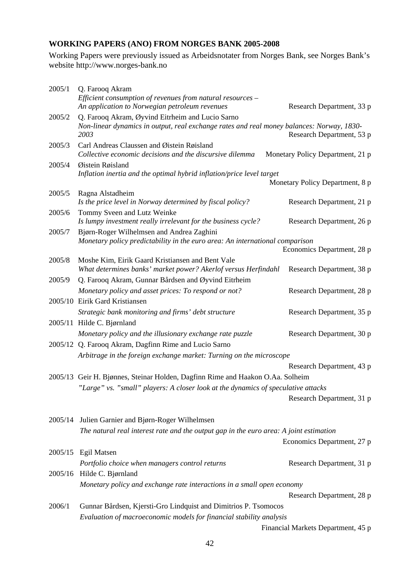#### **WORKING PAPERS (ANO) FROM NORGES BANK 2005-2008**

Working Papers were previously issued as Arbeidsnotater from Norges Bank, see Norges Bank's website http://www.norges-bank.no

| 2005/1 | Q. Farooq Akram<br>Efficient consumption of revenues from natural resources -<br>An application to Norwegian petroleum revenues | Research Department, 33 p          |  |
|--------|---------------------------------------------------------------------------------------------------------------------------------|------------------------------------|--|
| 2005/2 | Q. Farooq Akram, Øyvind Eitrheim and Lucio Sarno                                                                                |                                    |  |
|        | Non-linear dynamics in output, real exchange rates and real money balances: Norway, 1830-<br>2003                               | Research Department, 53 p          |  |
| 2005/3 | Carl Andreas Claussen and Øistein Røisland<br>Collective economic decisions and the discursive dilemma                          | Monetary Policy Department, 21 p   |  |
| 2005/4 | Øistein Røisland                                                                                                                |                                    |  |
|        | Inflation inertia and the optimal hybrid inflation/price level target                                                           | Monetary Policy Department, 8 p    |  |
|        |                                                                                                                                 |                                    |  |
| 2005/5 | Ragna Alstadheim<br>Is the price level in Norway determined by fiscal policy?                                                   | Research Department, 21 p          |  |
| 2005/6 | Tommy Sveen and Lutz Weinke                                                                                                     |                                    |  |
|        | Is lumpy investment really irrelevant for the business cycle?                                                                   | Research Department, 26 p          |  |
| 2005/7 | Bjørn-Roger Wilhelmsen and Andrea Zaghini                                                                                       |                                    |  |
|        | Monetary policy predictability in the euro area: An international comparison                                                    | Economics Department, 28 p         |  |
|        |                                                                                                                                 |                                    |  |
| 2005/8 | Moshe Kim, Eirik Gaard Kristiansen and Bent Vale<br>What determines banks' market power? Akerlof versus Herfindahl              | Research Department, 38 p          |  |
| 2005/9 | Q. Farooq Akram, Gunnar Bårdsen and Øyvind Eitrheim                                                                             |                                    |  |
|        | Monetary policy and asset prices: To respond or not?                                                                            | Research Department, 28 p          |  |
|        | 2005/10 Eirik Gard Kristiansen                                                                                                  |                                    |  |
|        | Strategic bank monitoring and firms' debt structure                                                                             | Research Department, 35 p          |  |
|        | 2005/11 Hilde C. Bjørnland                                                                                                      |                                    |  |
|        | Monetary policy and the illusionary exchange rate puzzle                                                                        | Research Department, 30 p          |  |
|        | 2005/12 Q. Farooq Akram, Dagfinn Rime and Lucio Sarno                                                                           |                                    |  |
|        | Arbitrage in the foreign exchange market: Turning on the microscope                                                             |                                    |  |
|        |                                                                                                                                 | Research Department, 43 p          |  |
|        | 2005/13 Geir H. Bjønnes, Steinar Holden, Dagfinn Rime and Haakon O.Aa. Solheim                                                  |                                    |  |
|        | "Large" vs. "small" players: A closer look at the dynamics of speculative attacks                                               |                                    |  |
|        |                                                                                                                                 | Research Department, 31 p          |  |
|        | 2005/14 Julien Garnier and Bjørn-Roger Wilhelmsen                                                                               |                                    |  |
|        | The natural real interest rate and the output gap in the euro area: A joint estimation                                          |                                    |  |
|        |                                                                                                                                 | Economics Department, 27 p         |  |
|        | 2005/15 Egil Matsen                                                                                                             |                                    |  |
|        | Portfolio choice when managers control returns                                                                                  | Research Department, 31 p          |  |
|        | 2005/16 Hilde C. Bjørnland                                                                                                      |                                    |  |
|        | Monetary policy and exchange rate interactions in a small open economy                                                          |                                    |  |
|        |                                                                                                                                 | Research Department, 28 p          |  |
| 2006/1 | Gunnar Bårdsen, Kjersti-Gro Lindquist and Dimitrios P. Tsomocos                                                                 |                                    |  |
|        | Evaluation of macroeconomic models for financial stability analysis                                                             |                                    |  |
|        |                                                                                                                                 | Financial Markets Department, 45 p |  |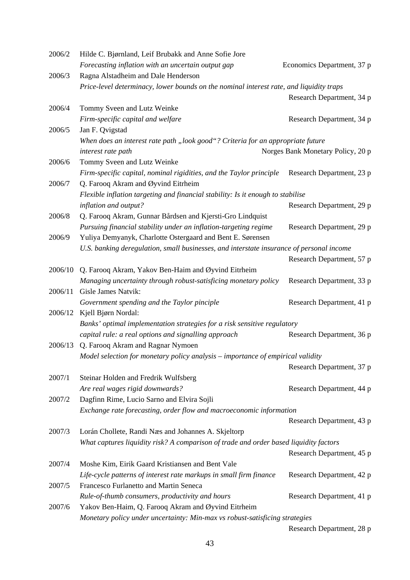| 2006/2  | Hilde C. Bjørnland, Leif Brubakk and Anne Sofie Jore                                     |                                   |  |  |  |
|---------|------------------------------------------------------------------------------------------|-----------------------------------|--|--|--|
|         | Forecasting inflation with an uncertain output gap                                       | Economics Department, 37 p        |  |  |  |
| 2006/3  | Ragna Alstadheim and Dale Henderson                                                      |                                   |  |  |  |
|         | Price-level determinacy, lower bounds on the nominal interest rate, and liquidity traps  |                                   |  |  |  |
|         |                                                                                          | Research Department, 34 p         |  |  |  |
| 2006/4  | Tommy Sveen and Lutz Weinke                                                              |                                   |  |  |  |
|         | Firm-specific capital and welfare                                                        | Research Department, 34 p         |  |  |  |
| 2006/5  | Jan F. Qvigstad                                                                          |                                   |  |  |  |
|         | When does an interest rate path "look good"? Criteria for an appropriate future          |                                   |  |  |  |
|         | interest rate path                                                                       | Norges Bank Monetary Policy, 20 p |  |  |  |
| 2006/6  | Tommy Sveen and Lutz Weinke                                                              |                                   |  |  |  |
|         | Firm-specific capital, nominal rigidities, and the Taylor principle                      | Research Department, 23 p         |  |  |  |
| 2006/7  | Q. Farooq Akram and Øyvind Eitrheim                                                      |                                   |  |  |  |
|         | Flexible inflation targeting and financial stability: Is it enough to stabilise          |                                   |  |  |  |
|         | inflation and output?                                                                    | Research Department, 29 p         |  |  |  |
| 2006/8  | Q. Farooq Akram, Gunnar Bårdsen and Kjersti-Gro Lindquist                                |                                   |  |  |  |
|         | Pursuing financial stability under an inflation-targeting regime                         | Research Department, 29 p         |  |  |  |
| 2006/9  | Yuliya Demyanyk, Charlotte Ostergaard and Bent E. Sørensen                               |                                   |  |  |  |
|         | U.S. banking deregulation, small businesses, and interstate insurance of personal income |                                   |  |  |  |
|         |                                                                                          | Research Department, 57 p         |  |  |  |
| 2006/10 | Q. Farooq Akram, Yakov Ben-Haim and Øyvind Eitrheim                                      |                                   |  |  |  |
|         | Managing uncertainty through robust-satisficing monetary policy                          | Research Department, 33 p         |  |  |  |
| 2006/11 | Gisle James Natvik:                                                                      |                                   |  |  |  |
|         | Government spending and the Taylor pinciple                                              | Research Department, 41 p         |  |  |  |
| 2006/12 | Kjell Bjørn Nordal:                                                                      |                                   |  |  |  |
|         | Banks' optimal implementation strategies for a risk sensitive regulatory                 |                                   |  |  |  |
|         | capital rule: a real options and signalling approach                                     | Research Department, 36 p         |  |  |  |
| 2006/13 | Q. Farooq Akram and Ragnar Nymoen                                                        |                                   |  |  |  |
|         | Model selection for monetary policy analysis - importance of empirical validity          |                                   |  |  |  |
|         |                                                                                          | Research Department, 37 p         |  |  |  |
| 2007/1  | Steinar Holden and Fredrik Wulfsberg                                                     |                                   |  |  |  |
|         | Are real wages rigid downwards?                                                          | Research Department, 44 p         |  |  |  |
| 2007/2  | Dagfinn Rime, Lucio Sarno and Elvira Sojli                                               |                                   |  |  |  |
|         | Exchange rate forecasting, order flow and macroeconomic information                      |                                   |  |  |  |
|         |                                                                                          | Research Department, 43 p         |  |  |  |
| 2007/3  | Lorán Chollete, Randi Næs and Johannes A. Skjeltorp                                      |                                   |  |  |  |
|         | What captures liquidity risk? A comparison of trade and order based liquidity factors    |                                   |  |  |  |
|         |                                                                                          | Research Department, 45 p         |  |  |  |
| 2007/4  | Moshe Kim, Eirik Gaard Kristiansen and Bent Vale                                         |                                   |  |  |  |
|         | Life-cycle patterns of interest rate markups in small firm finance                       | Research Department, 42 p         |  |  |  |
| 2007/5  | Francesco Furlanetto and Martin Seneca                                                   |                                   |  |  |  |
|         | Rule-of-thumb consumers, productivity and hours                                          | Research Department, 41 p         |  |  |  |
| 2007/6  | Yakov Ben-Haim, Q. Farooq Akram and Øyvind Eitrheim                                      |                                   |  |  |  |
|         | Monetary policy under uncertainty: Min-max vs robust-satisficing strategies              |                                   |  |  |  |
|         |                                                                                          | Research Department, 28 p         |  |  |  |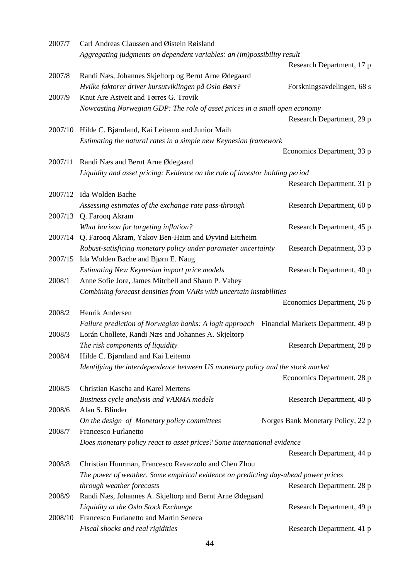| 2007/7  | Carl Andreas Claussen and Øistein Røisland                                                 |                                   |  |
|---------|--------------------------------------------------------------------------------------------|-----------------------------------|--|
|         | Aggregating judgments on dependent variables: an (im)possibility result                    |                                   |  |
|         |                                                                                            | Research Department, 17 p         |  |
| 2007/8  | Randi Næs, Johannes Skjeltorp og Bernt Arne Ødegaard                                       |                                   |  |
|         | Hvilke faktorer driver kursutviklingen på Oslo Børs?                                       | Forskningsavdelingen, 68 s        |  |
| 2007/9  | Knut Are Astveit and Tørres G. Trovik                                                      |                                   |  |
|         | Nowcasting Norwegian GDP: The role of asset prices in a small open economy                 |                                   |  |
|         |                                                                                            | Research Department, 29 p         |  |
| 2007/10 | Hilde C. Bjørnland, Kai Leitemo and Junior Maih                                            |                                   |  |
|         | Estimating the natural rates in a simple new Keynesian framework                           |                                   |  |
|         |                                                                                            | Economics Department, 33 p        |  |
| 2007/11 | Randi Næs and Bernt Arne Ødegaard                                                          |                                   |  |
|         | Liquidity and asset pricing: Evidence on the role of investor holding period               |                                   |  |
|         |                                                                                            | Research Department, 31 p         |  |
|         | 2007/12 Ida Wolden Bache                                                                   |                                   |  |
|         | Assessing estimates of the exchange rate pass-through                                      | Research Department, 60 p         |  |
|         | 2007/13 Q. Farooq Akram                                                                    |                                   |  |
|         | What horizon for targeting inflation?                                                      | Research Department, 45 p         |  |
| 2007/14 | Q. Farooq Akram, Yakov Ben-Haim and Øyvind Eitrheim                                        |                                   |  |
|         | Robust-satisficing monetary policy under parameter uncertainty                             | Research Depatrment, 33 p         |  |
| 2007/15 |                                                                                            |                                   |  |
|         | Ida Wolden Bache and Bjørn E. Naug                                                         |                                   |  |
|         | Estimating New Keynesian import price models                                               | Research Department, 40 p         |  |
| 2008/1  | Anne Sofie Jore, James Mitchell and Shaun P. Vahey                                         |                                   |  |
|         | Combining forecast densities from VARs with uncertain instabilities                        |                                   |  |
|         |                                                                                            | Economics Department, 26 p        |  |
| 2008/2  | Henrik Andersen                                                                            |                                   |  |
|         | Failure prediction of Norwegian banks: A logit approach Financial Markets Department, 49 p |                                   |  |
| 2008/3  | Lorán Chollete, Randi Næs and Johannes A. Skjeltorp                                        |                                   |  |
|         | The risk components of liquidity                                                           | Research Department, 28 p         |  |
| 2008/4  | Hilde C. Bjørnland and Kai Leitemo                                                         |                                   |  |
|         | Identifying the interdependence between US monetary policy and the stock market            |                                   |  |
|         |                                                                                            | Economics Department, 28 p        |  |
| 2008/5  | Christian Kascha and Karel Mertens                                                         |                                   |  |
|         | Business cycle analysis and VARMA models                                                   | Research Department, 40 p         |  |
| 2008/6  | Alan S. Blinder                                                                            |                                   |  |
|         | On the design of Monetary policy committees                                                | Norges Bank Monetary Policy, 22 p |  |
| 2008/7  | <b>Francesco Furlanetto</b>                                                                |                                   |  |
|         | Does monetary policy react to asset prices? Some international evidence                    |                                   |  |
|         |                                                                                            | Research Department, 44 p         |  |
| 2008/8  | Christian Huurman, Francesco Ravazzolo and Chen Zhou                                       |                                   |  |
|         | The power of weather. Some empirical evidence on predicting day-ahead power prices         |                                   |  |
|         | through weather forecasts                                                                  | Research Department, 28 p         |  |
| 2008/9  | Randi Næs, Johannes A. Skjeltorp and Bernt Arne Ødegaard                                   |                                   |  |
|         | Liquidity at the Oslo Stock Exchange                                                       | Research Department, 49 p         |  |
| 2008/10 | Francesco Furlanetto and Martin Seneca                                                     |                                   |  |
|         | Fiscal shocks and real rigidities                                                          | Research Department, 41 p         |  |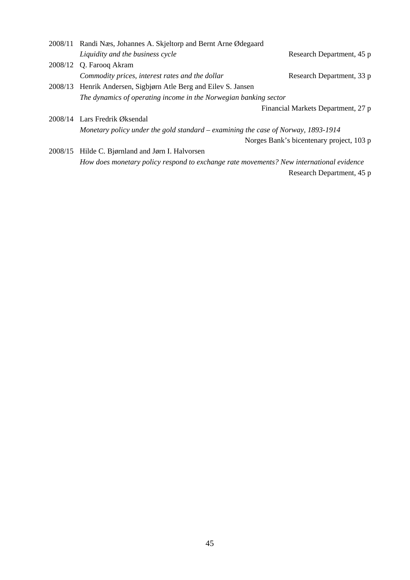|                                                                                   | 2008/11 Randi Næs, Johannes A. Skjeltorp and Bernt Arne Ødegaard                        |                                          |  |
|-----------------------------------------------------------------------------------|-----------------------------------------------------------------------------------------|------------------------------------------|--|
|                                                                                   | Liquidity and the business cycle                                                        | Research Department, 45 p                |  |
|                                                                                   | 2008/12 Q. Farooq Akram                                                                 |                                          |  |
|                                                                                   | Commodity prices, interest rates and the dollar                                         | Research Department, 33 p                |  |
|                                                                                   | 2008/13 Henrik Andersen, Sigbjørn Atle Berg and Eilev S. Jansen                         |                                          |  |
|                                                                                   | The dynamics of operating income in the Norwegian banking sector                        |                                          |  |
|                                                                                   |                                                                                         | Financial Markets Department, 27 p.      |  |
|                                                                                   | 2008/14 Lars Fredrik Øksendal                                                           |                                          |  |
| Monetary policy under the gold standard – examining the case of Norway, 1893-1914 |                                                                                         |                                          |  |
|                                                                                   |                                                                                         | Norges Bank's bicentenary project, 103 p |  |
| 2008/15                                                                           | Hilde C. Bjørnland and Jørn I. Halvorsen                                                |                                          |  |
|                                                                                   | How does monetary policy respond to exchange rate movements? New international evidence |                                          |  |
|                                                                                   |                                                                                         | Research Department, 45 p                |  |